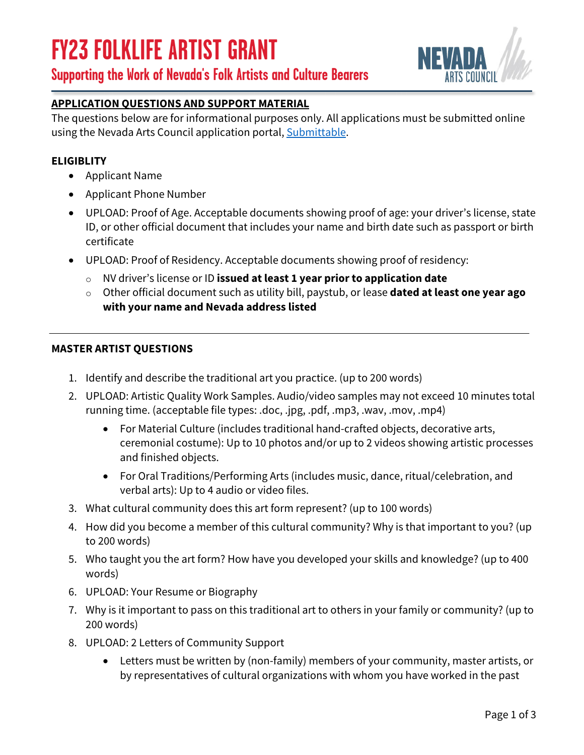# **FY23 FOLKLIFE ARTIST GRANT**





#### **APPLICATION QUESTIONS AND SUPPORT MATERIAL**

The questions below are for informational purposes only. All applications must be submitted online using the Nevada Arts Council application portal[, Submittable.](https://nevadaartscouncil.submittable.com/submit)

#### **ELIGIBLITY**

- Applicant Name
- Applicant Phone Number
- UPLOAD: Proof of Age. Acceptable documents showing proof of age: your driver's license, state ID, or other official document that includes your name and birth date such as passport or birth certificate
- UPLOAD: Proof of Residency. Acceptable documents showing proof of residency:
	- o NV driver's license or ID **issued at least 1 year prior to application date**
	- o Other official document such as utility bill, paystub, or lease **dated at least one year ago with your name and Nevada address listed**

#### **MASTER ARTIST QUESTIONS**

- 1. Identify and describe the traditional art you practice. (up to 200 words)
- 2. UPLOAD: Artistic Quality Work Samples. Audio/video samples may not exceed 10 minutes total running time. (acceptable file types: .doc, .jpg, .pdf, .mp3, .wav, .mov, .mp4)
	- For Material Culture (includes traditional hand-crafted objects, decorative arts, ceremonial costume): Up to 10 photos and/or up to 2 videos showing artistic processes and finished objects.
	- For Oral Traditions/Performing Arts (includes music, dance, ritual/celebration, and verbal arts): Up to 4 audio or video files.
- 3. What cultural community does this art form represent? (up to 100 words)
- 4. How did you become a member of this cultural community? Why is that important to you? (up to 200 words)
- 5. Who taught you the art form? How have you developed your skills and knowledge? (up to 400 words)
- 6. UPLOAD: Your Resume or Biography
- 7. Why is it important to pass on this traditional art to others in your family or community? (up to 200 words)
- 8. UPLOAD: 2 Letters of Community Support
	- Letters must be written by (non-family) members of your community, master artists, or by representatives of cultural organizations with whom you have worked in the past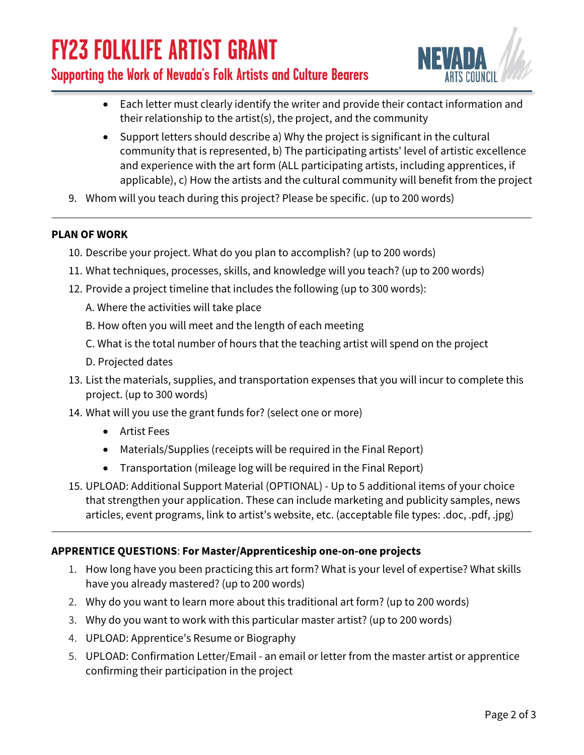# **FY23 FOLKLIFE ARTIST GRANT**

### **Supporting the Work of Nevada's Folk Artists and Culture Bearers**



- Each letter must clearly identify the writer and provide their contact information and their relationship to the artist(s), the project, and the community
- Support letters should describe a) Why the project is significant in the cultural community that is represented, b) The participating artists' level of artistic excellence and experience with the art form (ALL participating artists, including apprentices, if applicable), c) How the artists and the cultural community will benefit from the project
- 9. Whom will you teach during this project? Please be specific. (up to 200 words)

#### **PLAN OF WORK**

- 10. Describe your project. What do you plan to accomplish? (up to 200 words)
- 11. What techniques, processes, skills, and knowledge will you teach? (up to 200 words)
- 12. Provide a project timeline that includes the following (up to 300 words):
	- A. Where the activities will take place
	- B. How often you will meet and the length of each meeting
	- C. What is the total number of hours that the teaching artist will spend on the project
	- D. Projected dates
- 13. List the materials, supplies, and transportation expenses that you will incur to complete this project. (up to 300 words)
- 14. What will you use the grant funds for? (select one or more)
	- Artist Fees
	- Materials/Supplies (receipts will be required in the Final Report)
	- Transportation (mileage log will be required in the Final Report)
- 15. UPLOAD: Additional Support Material (OPTIONAL) Up to 5 additional items of your choice that strengthen your application. These can include marketing and publicity samples, news articles, event programs, link to artist's website, etc. (acceptable file types: .doc, .pdf, .jpg)

#### **APPRENTICE QUESTIONS**: **For Master/Apprenticeship one-on-one projects**

- 1. How long have you been practicing this art form? What is your level of expertise? What skills have you already mastered? (up to 200 words)
- 2. Why do you want to learn more about this traditional art form? (up to 200 words)
- 3. Why do you want to work with this particular master artist? (up to 200 words)
- 4. UPLOAD: Apprentice's Resume or Biography
- 5. UPLOAD: Confirmation Letter/Email an email or letter from the master artist or apprentice confirming their participation in the project